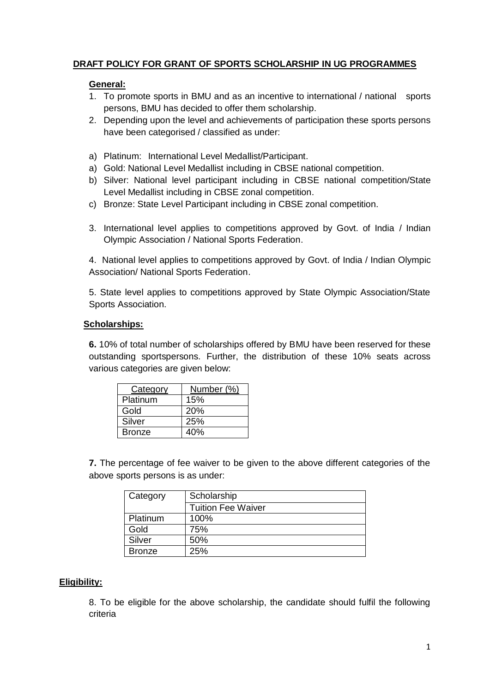# **DRAFT POLICY FOR GRANT OF SPORTS SCHOLARSHIP IN UG PROGRAMMES**

### **General:**

- 1. To promote sports in BMU and as an incentive to international / national sports persons, BMU has decided to offer them scholarship.
- 2. Depending upon the level and achievements of participation these sports persons have been categorised / classified as under:
- a) Platinum: International Level Medallist/Participant.
- a) Gold: National Level Medallist including in CBSE national competition.
- b) Silver: National level participant including in CBSE national competition/State Level Medallist including in CBSE zonal competition.
- c) Bronze: State Level Participant including in CBSE zonal competition.
- 3. International level applies to competitions approved by Govt. of India / Indian Olympic Association / National Sports Federation.

4. National level applies to competitions approved by Govt. of India / Indian Olympic Association/ National Sports Federation.

5. State level applies to competitions approved by State Olympic Association/State Sports Association.

### **Scholarships:**

**6.** 10% of total number of scholarships offered by BMU have been reserved for these outstanding sportspersons. Further, the distribution of these 10% seats across various categories are given below:

| <b>Category</b> | Number (%) |
|-----------------|------------|
| Platinum        | 15%        |
| Gold            | 20%        |
| Silver          | 25%        |
| <b>Bronze</b>   | 40%        |

**7.** The percentage of fee waiver to be given to the above different categories of the above sports persons is as under:

| Category      | Scholarship               |  |
|---------------|---------------------------|--|
|               | <b>Tuition Fee Waiver</b> |  |
| Platinum      | 100%                      |  |
| Gold          | 75%                       |  |
| Silver        | 50%                       |  |
| <b>Bronze</b> | 25%                       |  |

## **Eligibility:**

8. To be eligible for the above scholarship, the candidate should fulfil the following criteria